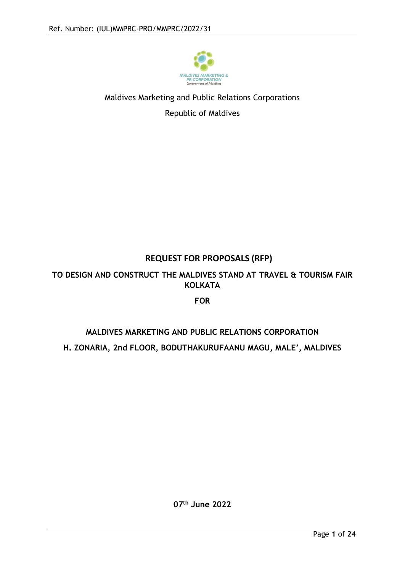

# Maldives Marketing and Public Relations Corporations

Republic of Maldives

## **REQUEST FOR PROPOSALS (RFP)**

## **TO DESIGN AND CONSTRUCT THE MALDIVES STAND AT TRAVEL & TOURISM FAIR KOLKATA**

### **FOR**

# **MALDIVES MARKETING AND PUBLIC RELATIONS CORPORATION H. ZONARIA, 2nd FLOOR, BODUTHAKURUFAANU MAGU, MALE', MALDIVES**

**07th June 2022**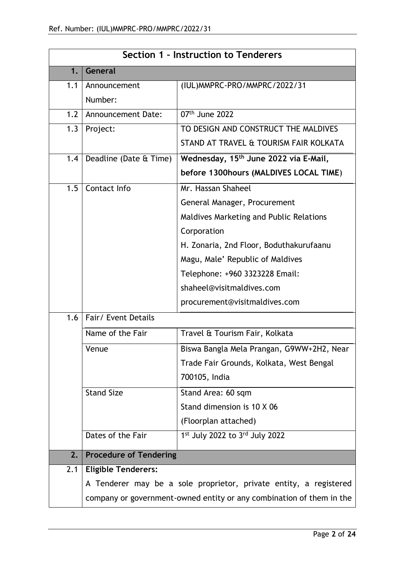|     | Section 1 - Instruction to Tenderers |                                                                      |  |
|-----|--------------------------------------|----------------------------------------------------------------------|--|
| 1.  | General                              |                                                                      |  |
| 1.1 | Announcement                         | (IUL) MMPRC-PRO/MMPRC/2022/31                                        |  |
|     | Number:                              |                                                                      |  |
| 1.2 | <b>Announcement Date:</b>            | 07th June 2022                                                       |  |
| 1.3 | Project:                             | TO DESIGN AND CONSTRUCT THE MALDIVES                                 |  |
|     |                                      | STAND AT TRAVEL & TOURISM FAIR KOLKATA                               |  |
| 1.4 | Deadline (Date & Time)               | Wednesday, 15 <sup>th</sup> June 2022 via E-Mail,                    |  |
|     |                                      | before 1300hours (MALDIVES LOCAL TIME)                               |  |
| 1.5 | Contact Info                         | Mr. Hassan Shaheel                                                   |  |
|     |                                      | General Manager, Procurement                                         |  |
|     |                                      | Maldives Marketing and Public Relations                              |  |
|     |                                      | Corporation                                                          |  |
|     |                                      | H. Zonaria, 2nd Floor, Boduthakurufaanu                              |  |
|     |                                      | Magu, Male' Republic of Maldives                                     |  |
|     |                                      | Telephone: +960 3323228 Email:                                       |  |
|     |                                      | shaheel@visitmaldives.com                                            |  |
|     |                                      | procurement@visitmaldives.com                                        |  |
| 1.6 | Fair/ Event Details                  |                                                                      |  |
|     | Name of the Fair                     | Travel & Tourism Fair, Kolkata                                       |  |
|     | Venue                                | Biswa Bangla Mela Prangan, G9WW+2H2, Near                            |  |
|     |                                      | Trade Fair Grounds, Kolkata, West Bengal                             |  |
|     |                                      | 700105, India                                                        |  |
|     | <b>Stand Size</b>                    | Stand Area: 60 sqm                                                   |  |
|     |                                      | Stand dimension is 10 X 06                                           |  |
|     |                                      | (Floorplan attached)                                                 |  |
|     | Dates of the Fair                    | $1st$ July 2022 to $3rd$ July 2022                                   |  |
| 2.  | <b>Procedure of Tendering</b>        |                                                                      |  |
| 2.1 | <b>Eligible Tenderers:</b>           |                                                                      |  |
|     |                                      | A Tenderer may be a sole proprietor, private entity, a registered    |  |
|     |                                      | company or government-owned entity or any combination of them in the |  |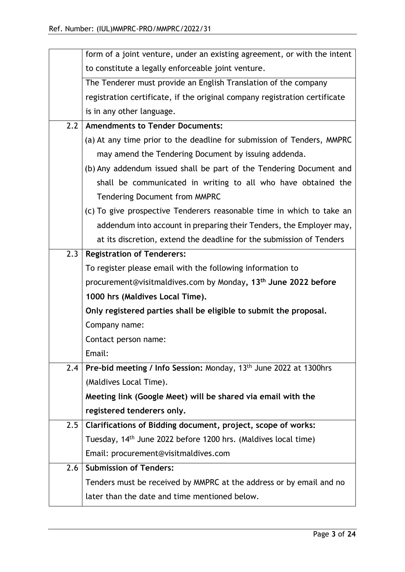|     | form of a joint venture, under an existing agreement, or with the intent      |
|-----|-------------------------------------------------------------------------------|
|     | to constitute a legally enforceable joint venture.                            |
|     | The Tenderer must provide an English Translation of the company               |
|     | registration certificate, if the original company registration certificate    |
|     | is in any other language.                                                     |
| 2.2 | <b>Amendments to Tender Documents:</b>                                        |
|     | (a) At any time prior to the deadline for submission of Tenders, MMPRC        |
|     | may amend the Tendering Document by issuing addenda.                          |
|     | (b) Any addendum issued shall be part of the Tendering Document and           |
|     | shall be communicated in writing to all who have obtained the                 |
|     | <b>Tendering Document from MMPRC</b>                                          |
|     | (c) To give prospective Tenderers reasonable time in which to take an         |
|     | addendum into account in preparing their Tenders, the Employer may,           |
|     | at its discretion, extend the deadline for the submission of Tenders          |
| 2.3 | <b>Registration of Tenderers:</b>                                             |
|     | To register please email with the following information to                    |
|     | procurement@visitmaldives.com by Monday, 13 <sup>th</sup> June 2022 before    |
|     | 1000 hrs (Maldives Local Time).                                               |
|     | Only registered parties shall be eligible to submit the proposal.             |
|     | Company name:                                                                 |
|     | Contact person name:                                                          |
|     | Email:                                                                        |
| 2.4 | Pre-bid meeting / Info Session: Monday, 13 <sup>th</sup> June 2022 at 1300hrs |
|     | (Maldives Local Time).                                                        |
|     | Meeting link (Google Meet) will be shared via email with the                  |
|     | registered tenderers only.                                                    |
| 2.5 | Clarifications of Bidding document, project, scope of works:                  |
|     | Tuesday, 14th June 2022 before 1200 hrs. (Maldives local time)                |
|     | Email: procurement@visitmaldives.com                                          |
| 2.6 | <b>Submission of Tenders:</b>                                                 |
|     | Tenders must be received by MMPRC at the address or by email and no           |
|     | later than the date and time mentioned below.                                 |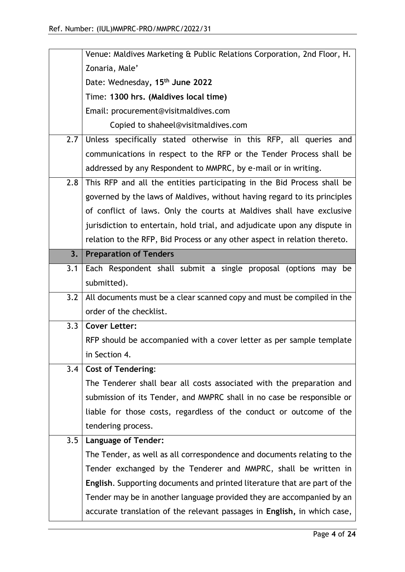|     | Venue: Maldives Marketing & Public Relations Corporation, 2nd Floor, H.                                                                           |
|-----|---------------------------------------------------------------------------------------------------------------------------------------------------|
|     | Zonaria, Male'                                                                                                                                    |
|     | Date: Wednesday, 15 <sup>th</sup> June 2022                                                                                                       |
|     | Time: 1300 hrs. (Maldives local time)                                                                                                             |
|     | Email: procurement@visitmaldives.com                                                                                                              |
|     | Copied to shaheel@visitmaldives.com                                                                                                               |
| 2.7 | Unless specifically stated otherwise in this RFP, all queries and                                                                                 |
|     | communications in respect to the RFP or the Tender Process shall be                                                                               |
|     | addressed by any Respondent to MMPRC, by e-mail or in writing.                                                                                    |
| 2.8 | This RFP and all the entities participating in the Bid Process shall be                                                                           |
|     | governed by the laws of Maldives, without having regard to its principles                                                                         |
|     | of conflict of laws. Only the courts at Maldives shall have exclusive                                                                             |
|     | jurisdiction to entertain, hold trial, and adjudicate upon any dispute in                                                                         |
|     | relation to the RFP, Bid Process or any other aspect in relation thereto.                                                                         |
| 3.  | <b>Preparation of Tenders</b>                                                                                                                     |
| 3.1 | Each Respondent shall submit a single proposal (options may<br>be                                                                                 |
|     | submitted).                                                                                                                                       |
| 3.2 | All documents must be a clear scanned copy and must be compiled in the                                                                            |
|     | order of the checklist.                                                                                                                           |
| 3.3 | <b>Cover Letter:</b>                                                                                                                              |
|     |                                                                                                                                                   |
|     | RFP should be accompanied with a cover letter as per sample template                                                                              |
|     | in Section 4.                                                                                                                                     |
| 3.4 | <b>Cost of Tendering:</b>                                                                                                                         |
|     | The Tenderer shall bear all costs associated with the preparation and                                                                             |
|     | submission of its Tender, and MMPRC shall in no case be responsible or                                                                            |
|     | liable for those costs, regardless of the conduct or outcome of the                                                                               |
|     | tendering process.                                                                                                                                |
| 3.5 | <b>Language of Tender:</b>                                                                                                                        |
|     | The Tender, as well as all correspondence and documents relating to the                                                                           |
|     | Tender exchanged by the Tenderer and MMPRC, shall be written in                                                                                   |
|     | <b>English.</b> Supporting documents and printed literature that are part of the                                                                  |
|     | Tender may be in another language provided they are accompanied by an<br>accurate translation of the relevant passages in English, in which case, |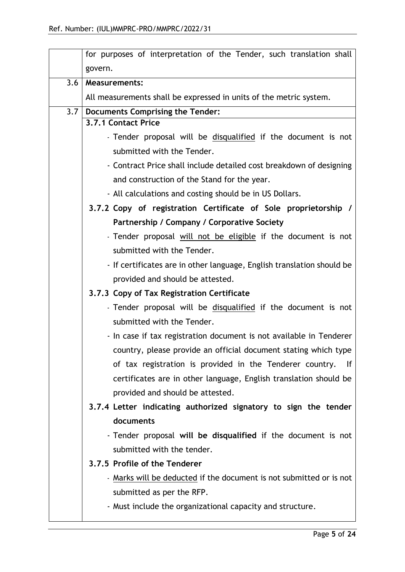|     | for purposes of interpretation of the Tender, such translation shall   |
|-----|------------------------------------------------------------------------|
|     | govern.                                                                |
| 3.6 | <b>Measurements:</b>                                                   |
|     | All measurements shall be expressed in units of the metric system.     |
| 3.7 | <b>Documents Comprising the Tender:</b>                                |
|     | 3.7.1 Contact Price                                                    |
|     | - Tender proposal will be disqualified if the document is not          |
|     | submitted with the Tender.                                             |
|     | - Contract Price shall include detailed cost breakdown of designing    |
|     | and construction of the Stand for the year.                            |
|     | - All calculations and costing should be in US Dollars.                |
|     | 3.7.2 Copy of registration Certificate of Sole proprietorship /        |
|     | Partnership / Company / Corporative Society                            |
|     | - Tender proposal will not be eligible if the document is not          |
|     | submitted with the Tender.                                             |
|     | - If certificates are in other language, English translation should be |
|     | provided and should be attested.                                       |
|     | 3.7.3 Copy of Tax Registration Certificate                             |
|     | - Tender proposal will be disqualified if the document is not          |
|     | submitted with the Tender.                                             |
|     | - In case if tax registration document is not available in Tenderer    |
|     | country, please provide an official document stating which type        |
|     | of tax registration is provided in the Tenderer country. If            |
|     | certificates are in other language, English translation should be      |
|     | provided and should be attested.                                       |
|     | 3.7.4 Letter indicating authorized signatory to sign the tender        |
|     | documents                                                              |
|     | - Tender proposal will be disqualified if the document is not          |
|     | submitted with the tender.                                             |
|     | 3.7.5 Profile of the Tenderer                                          |
|     | - Marks will be deducted if the document is not submitted or is not    |
|     | submitted as per the RFP.                                              |
|     | - Must include the organizational capacity and structure.              |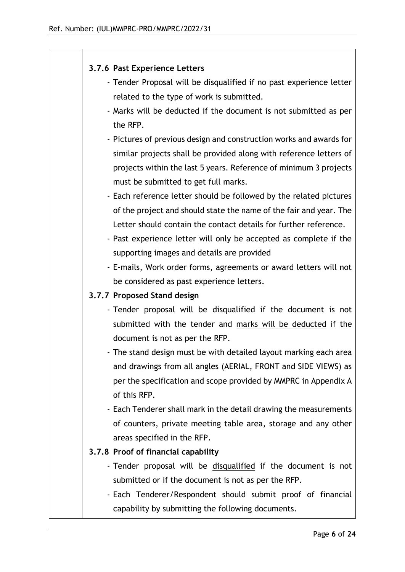### **3.7.6 Past Experience Letters**

- Tender Proposal will be disqualified if no past experience letter related to the type of work is submitted.
- Marks will be deducted if the document is not submitted as per the RFP.
- Pictures of previous design and construction works and awards for similar projects shall be provided along with reference letters of projects within the last 5 years. Reference of minimum 3 projects must be submitted to get full marks.
- Each reference letter should be followed by the related pictures of the project and should state the name of the fair and year. The Letter should contain the contact details for further reference.
- Past experience letter will only be accepted as complete if the supporting images and details are provided
- E-mails, Work order forms, agreements or award letters will not be considered as past experience letters.

### **3.7.7 Proposed Stand design**

- Tender proposal will be disqualified if the document is not submitted with the tender and marks will be deducted if the document is not as per the RFP.
- The stand design must be with detailed layout marking each area and drawings from all angles (AERIAL, FRONT and SIDE VIEWS) as per the specification and scope provided by MMPRC in Appendix A of this RFP.

- Each Tenderer shall mark in the detail drawing the measurements of counters, private meeting table area, storage and any other areas specified in the RFP.

### **3.7.8 Proof of financial capability**

- Tender proposal will be disqualified if the document is not submitted or if the document is not as per the RFP.
- Each Tenderer/Respondent should submit proof of financial capability by submitting the following documents.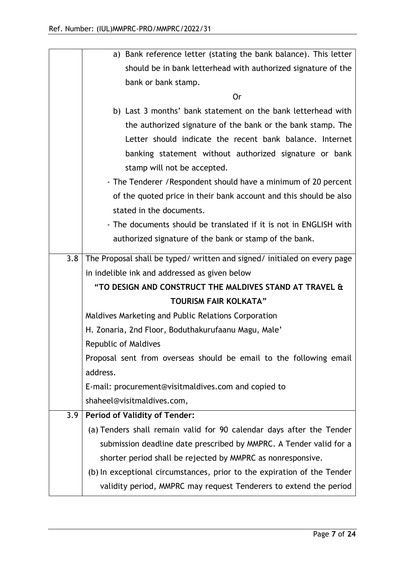|     | a) Bank reference letter (stating the bank balance). This letter         |
|-----|--------------------------------------------------------------------------|
|     | should be in bank letterhead with authorized signature of the            |
|     | bank or bank stamp.                                                      |
|     | <b>Or</b>                                                                |
|     | b) Last 3 months' bank statement on the bank letterhead with             |
|     | the authorized signature of the bank or the bank stamp. The              |
|     | Letter should indicate the recent bank balance. Internet                 |
|     | banking statement without authorized signature or bank                   |
|     | stamp will not be accepted.                                              |
|     | - The Tenderer / Respondent should have a minimum of 20 percent          |
|     | of the quoted price in their bank account and this should be also        |
|     | stated in the documents.                                                 |
|     | - The documents should be translated if it is not in ENGLISH with        |
|     | authorized signature of the bank or stamp of the bank.                   |
| 3.8 | The Proposal shall be typed/ written and signed/ initialed on every page |
|     | in indelible ink and addressed as given below                            |
|     | "TO DESIGN AND CONSTRUCT THE MALDIVES STAND AT TRAVEL &                  |
|     | <b>TOURISM FAIR KOLKATA"</b>                                             |
|     | Maldives Marketing and Public Relations Corporation                      |
|     | H. Zonaria, 2nd Floor, Boduthakurufaanu Magu, Male'                      |
|     | Republic of Maldives                                                     |
|     | Proposal sent from overseas should be email to the following email       |
|     | address.                                                                 |
|     | E-mail: procurement@visitmaldives.com and copied to                      |
|     | shaheel@visitmaldives.com,                                               |
| 3.9 | <b>Period of Validity of Tender:</b>                                     |
|     | (a) Tenders shall remain valid for 90 calendar days after the Tender     |
|     | submission deadline date prescribed by MMPRC. A Tender valid for a       |
|     | shorter period shall be rejected by MMPRC as nonresponsive.              |
|     | (b) In exceptional circumstances, prior to the expiration of the Tender  |
|     | validity period, MMPRC may request Tenderers to extend the period        |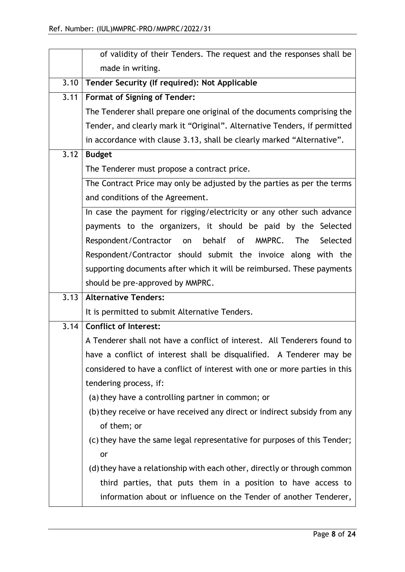|      | of validity of their Tenders. The request and the responses shall be       |
|------|----------------------------------------------------------------------------|
|      | made in writing.                                                           |
| 3.10 | Tender Security (If required): Not Applicable                              |
| 3.11 | <b>Format of Signing of Tender:</b>                                        |
|      | The Tenderer shall prepare one original of the documents comprising the    |
|      | Tender, and clearly mark it "Original". Alternative Tenders, if permitted  |
|      | in accordance with clause 3.13, shall be clearly marked "Alternative".     |
| 3.12 | <b>Budget</b>                                                              |
|      | The Tenderer must propose a contract price.                                |
|      | The Contract Price may only be adjusted by the parties as per the terms    |
|      | and conditions of the Agreement.                                           |
|      | In case the payment for rigging/electricity or any other such advance      |
|      | payments to the organizers, it should be paid by the Selected              |
|      | behalf of MMPRC.<br>Respondent/Contractor<br><b>The</b><br>Selected<br>on  |
|      | Respondent/Contractor should submit the invoice along with the             |
|      | supporting documents after which it will be reimbursed. These payments     |
|      | should be pre-approved by MMPRC.                                           |
| 3.13 | <b>Alternative Tenders:</b>                                                |
|      | It is permitted to submit Alternative Tenders.                             |
| 3.14 | <b>Conflict of Interest:</b>                                               |
|      | A Tenderer shall not have a conflict of interest. All Tenderers found to   |
|      | have a conflict of interest shall be disqualified. A Tenderer may be       |
|      | considered to have a conflict of interest with one or more parties in this |
|      | tendering process, if:                                                     |
|      | (a) they have a controlling partner in common; or                          |
|      | (b) they receive or have received any direct or indirect subsidy from any  |
|      | of them; or                                                                |
|      | (c) they have the same legal representative for purposes of this Tender;   |
|      | or                                                                         |
|      | (d) they have a relationship with each other, directly or through common   |
|      | third parties, that puts them in a position to have access to              |
|      | information about or influence on the Tender of another Tenderer,          |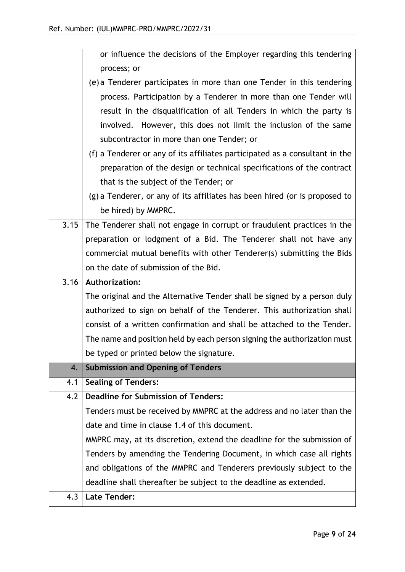|      | or influence the decisions of the Employer regarding this tendering         |
|------|-----------------------------------------------------------------------------|
|      | process; or                                                                 |
|      | (e) a Tenderer participates in more than one Tender in this tendering       |
|      | process. Participation by a Tenderer in more than one Tender will           |
|      | result in the disqualification of all Tenders in which the party is         |
|      | involved. However, this does not limit the inclusion of the same            |
|      | subcontractor in more than one Tender; or                                   |
|      | (f) a Tenderer or any of its affiliates participated as a consultant in the |
|      | preparation of the design or technical specifications of the contract       |
|      | that is the subject of the Tender; or                                       |
|      | (g) a Tenderer, or any of its affiliates has been hired (or is proposed to  |
|      | be hired) by MMPRC.                                                         |
| 3.15 | The Tenderer shall not engage in corrupt or fraudulent practices in the     |
|      | preparation or lodgment of a Bid. The Tenderer shall not have any           |
|      | commercial mutual benefits with other Tenderer(s) submitting the Bids       |
|      | on the date of submission of the Bid.                                       |
|      |                                                                             |
| 3.16 | <b>Authorization:</b>                                                       |
|      | The original and the Alternative Tender shall be signed by a person duly    |
|      | authorized to sign on behalf of the Tenderer. This authorization shall      |
|      | consist of a written confirmation and shall be attached to the Tender.      |
|      | The name and position held by each person signing the authorization must    |
|      | be typed or printed below the signature.                                    |
| 4.   | <b>Submission and Opening of Tenders</b>                                    |
| 4.1  | <b>Sealing of Tenders:</b>                                                  |
| 4.2  | <b>Deadline for Submission of Tenders:</b>                                  |
|      | Tenders must be received by MMPRC at the address and no later than the      |
|      | date and time in clause 1.4 of this document.                               |
|      | MMPRC may, at its discretion, extend the deadline for the submission of     |
|      | Tenders by amending the Tendering Document, in which case all rights        |
|      | and obligations of the MMPRC and Tenderers previously subject to the        |
|      | deadline shall thereafter be subject to the deadline as extended.           |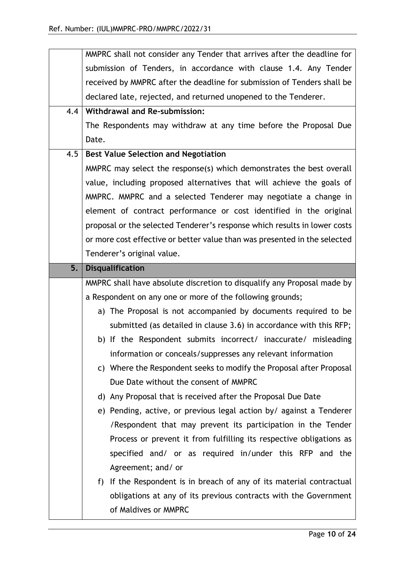|     | MMPRC shall not consider any Tender that arrives after the deadline for                  |
|-----|------------------------------------------------------------------------------------------|
|     | submission of Tenders, in accordance with clause 1.4. Any Tender                         |
|     | received by MMPRC after the deadline for submission of Tenders shall be                  |
|     | declared late, rejected, and returned unopened to the Tenderer.                          |
| 4.4 | <b>Withdrawal and Re-submission:</b>                                                     |
|     | The Respondents may withdraw at any time before the Proposal Due                         |
|     | Date.                                                                                    |
| 4.5 | <b>Best Value Selection and Negotiation</b>                                              |
|     | MMPRC may select the response(s) which demonstrates the best overall                     |
|     | value, including proposed alternatives that will achieve the goals of                    |
|     | MMPRC. MMPRC and a selected Tenderer may negotiate a change in                           |
|     | element of contract performance or cost identified in the original                       |
|     | proposal or the selected Tenderer's response which results in lower costs                |
|     | or more cost effective or better value than was presented in the selected                |
|     | Tenderer's original value.                                                               |
| 5.  | <b>Disqualification</b>                                                                  |
|     | MMPRC shall have absolute discretion to disqualify any Proposal made by                  |
|     | a Respondent on any one or more of the following grounds;                                |
|     | a) The Proposal is not accompanied by documents required to be                           |
|     | submitted (as detailed in clause 3.6) in accordance with this RFP;                       |
|     | b) If the Respondent submits incorrect/ inaccurate/ misleading                           |
|     | information or conceals/suppresses any relevant information                              |
|     |                                                                                          |
|     | c) Where the Respondent seeks to modify the Proposal after Proposal                      |
|     | Due Date without the consent of MMPRC                                                    |
|     | d) Any Proposal that is received after the Proposal Due Date                             |
|     | e) Pending, active, or previous legal action by/ against a Tenderer                      |
|     | /Respondent that may prevent its participation in the Tender                             |
|     | Process or prevent it from fulfilling its respective obligations as                      |
|     | specified and/ or as required in/under this RFP and the                                  |
|     | Agreement; and/ or                                                                       |
|     | If the Respondent is in breach of any of its material contractual<br>f)                  |
|     | obligations at any of its previous contracts with the Government<br>of Maldives or MMPRC |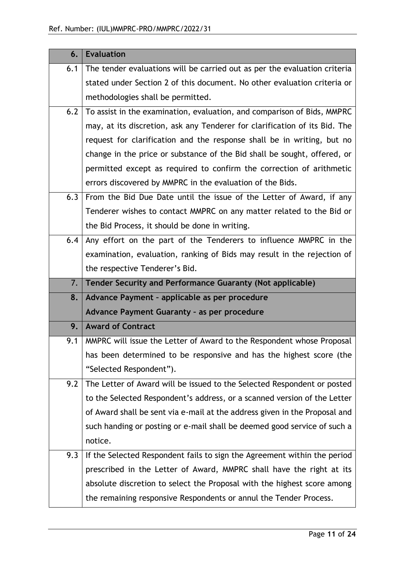| 6.  | <b>Evaluation</b>                                                          |
|-----|----------------------------------------------------------------------------|
| 6.1 | The tender evaluations will be carried out as per the evaluation criteria  |
|     | stated under Section 2 of this document. No other evaluation criteria or   |
|     | methodologies shall be permitted.                                          |
| 6.2 | To assist in the examination, evaluation, and comparison of Bids, MMPRC    |
|     | may, at its discretion, ask any Tenderer for clarification of its Bid. The |
|     | request for clarification and the response shall be in writing, but no     |
|     | change in the price or substance of the Bid shall be sought, offered, or   |
|     | permitted except as required to confirm the correction of arithmetic       |
|     | errors discovered by MMPRC in the evaluation of the Bids.                  |
| 6.3 | From the Bid Due Date until the issue of the Letter of Award, if any       |
|     | Tenderer wishes to contact MMPRC on any matter related to the Bid or       |
|     | the Bid Process, it should be done in writing.                             |
| 6.4 | Any effort on the part of the Tenderers to influence MMPRC in the          |
|     | examination, evaluation, ranking of Bids may result in the rejection of    |
|     | the respective Tenderer's Bid.                                             |
|     |                                                                            |
| 7.  | Tender Security and Performance Guaranty (Not applicable)                  |
| 8.  | Advance Payment - applicable as per procedure                              |
|     | Advance Payment Guaranty - as per procedure                                |
| 9.  | <b>Award of Contract</b>                                                   |
| 9.1 | MMPRC will issue the Letter of Award to the Respondent whose Proposal      |
|     | has been determined to be responsive and has the highest score (the        |
|     | "Selected Respondent").                                                    |
| 9.2 | The Letter of Award will be issued to the Selected Respondent or posted    |
|     | to the Selected Respondent's address, or a scanned version of the Letter   |
|     | of Award shall be sent via e-mail at the address given in the Proposal and |
|     | such handing or posting or e-mail shall be deemed good service of such a   |
|     | notice.                                                                    |
| 9.3 | If the Selected Respondent fails to sign the Agreement within the period   |
|     | prescribed in the Letter of Award, MMPRC shall have the right at its       |
|     | absolute discretion to select the Proposal with the highest score among    |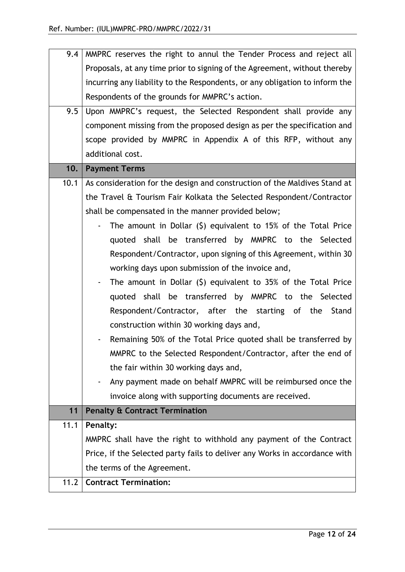| Proposals, at any time prior to signing of the Agreement, without thereby<br>incurring any liability to the Respondents, or any obligation to inform the<br>Respondents of the grounds for MMPRC's action.<br>9.5<br>Upon MMPRC's request, the Selected Respondent shall provide any<br>component missing from the proposed design as per the specification and<br>scope provided by MMPRC in Appendix A of this RFP, without any<br>additional cost.<br><b>Payment Terms</b><br>10.<br>As consideration for the design and construction of the Maldives Stand at<br>10.1<br>the Travel & Tourism Fair Kolkata the Selected Respondent/Contractor<br>shall be compensated in the manner provided below;<br>The amount in Dollar $(\xi)$ equivalent to 15% of the Total Price<br>quoted shall be transferred by MMPRC to the Selected<br>Respondent/Contractor, upon signing of this Agreement, within 30<br>working days upon submission of the invoice and,<br>The amount in Dollar $(5)$ equivalent to 35% of the Total Price<br>$\overline{\phantom{a}}$ |
|-------------------------------------------------------------------------------------------------------------------------------------------------------------------------------------------------------------------------------------------------------------------------------------------------------------------------------------------------------------------------------------------------------------------------------------------------------------------------------------------------------------------------------------------------------------------------------------------------------------------------------------------------------------------------------------------------------------------------------------------------------------------------------------------------------------------------------------------------------------------------------------------------------------------------------------------------------------------------------------------------------------------------------------------------------------|
|                                                                                                                                                                                                                                                                                                                                                                                                                                                                                                                                                                                                                                                                                                                                                                                                                                                                                                                                                                                                                                                             |
|                                                                                                                                                                                                                                                                                                                                                                                                                                                                                                                                                                                                                                                                                                                                                                                                                                                                                                                                                                                                                                                             |
|                                                                                                                                                                                                                                                                                                                                                                                                                                                                                                                                                                                                                                                                                                                                                                                                                                                                                                                                                                                                                                                             |
|                                                                                                                                                                                                                                                                                                                                                                                                                                                                                                                                                                                                                                                                                                                                                                                                                                                                                                                                                                                                                                                             |
|                                                                                                                                                                                                                                                                                                                                                                                                                                                                                                                                                                                                                                                                                                                                                                                                                                                                                                                                                                                                                                                             |
|                                                                                                                                                                                                                                                                                                                                                                                                                                                                                                                                                                                                                                                                                                                                                                                                                                                                                                                                                                                                                                                             |
|                                                                                                                                                                                                                                                                                                                                                                                                                                                                                                                                                                                                                                                                                                                                                                                                                                                                                                                                                                                                                                                             |
|                                                                                                                                                                                                                                                                                                                                                                                                                                                                                                                                                                                                                                                                                                                                                                                                                                                                                                                                                                                                                                                             |
|                                                                                                                                                                                                                                                                                                                                                                                                                                                                                                                                                                                                                                                                                                                                                                                                                                                                                                                                                                                                                                                             |
|                                                                                                                                                                                                                                                                                                                                                                                                                                                                                                                                                                                                                                                                                                                                                                                                                                                                                                                                                                                                                                                             |
|                                                                                                                                                                                                                                                                                                                                                                                                                                                                                                                                                                                                                                                                                                                                                                                                                                                                                                                                                                                                                                                             |
|                                                                                                                                                                                                                                                                                                                                                                                                                                                                                                                                                                                                                                                                                                                                                                                                                                                                                                                                                                                                                                                             |
|                                                                                                                                                                                                                                                                                                                                                                                                                                                                                                                                                                                                                                                                                                                                                                                                                                                                                                                                                                                                                                                             |
|                                                                                                                                                                                                                                                                                                                                                                                                                                                                                                                                                                                                                                                                                                                                                                                                                                                                                                                                                                                                                                                             |
|                                                                                                                                                                                                                                                                                                                                                                                                                                                                                                                                                                                                                                                                                                                                                                                                                                                                                                                                                                                                                                                             |
|                                                                                                                                                                                                                                                                                                                                                                                                                                                                                                                                                                                                                                                                                                                                                                                                                                                                                                                                                                                                                                                             |
| quoted shall be transferred by MMPRC to the Selected                                                                                                                                                                                                                                                                                                                                                                                                                                                                                                                                                                                                                                                                                                                                                                                                                                                                                                                                                                                                        |
| Respondent/Contractor, after the starting of the<br>Stand                                                                                                                                                                                                                                                                                                                                                                                                                                                                                                                                                                                                                                                                                                                                                                                                                                                                                                                                                                                                   |
| construction within 30 working days and,                                                                                                                                                                                                                                                                                                                                                                                                                                                                                                                                                                                                                                                                                                                                                                                                                                                                                                                                                                                                                    |
| Remaining 50% of the Total Price quoted shall be transferred by                                                                                                                                                                                                                                                                                                                                                                                                                                                                                                                                                                                                                                                                                                                                                                                                                                                                                                                                                                                             |
| MMPRC to the Selected Respondent/Contractor, after the end of                                                                                                                                                                                                                                                                                                                                                                                                                                                                                                                                                                                                                                                                                                                                                                                                                                                                                                                                                                                               |
| the fair within 30 working days and,                                                                                                                                                                                                                                                                                                                                                                                                                                                                                                                                                                                                                                                                                                                                                                                                                                                                                                                                                                                                                        |
| Any payment made on behalf MMPRC will be reimbursed once the                                                                                                                                                                                                                                                                                                                                                                                                                                                                                                                                                                                                                                                                                                                                                                                                                                                                                                                                                                                                |
| invoice along with supporting documents are received.                                                                                                                                                                                                                                                                                                                                                                                                                                                                                                                                                                                                                                                                                                                                                                                                                                                                                                                                                                                                       |
| 11<br><b>Penalty &amp; Contract Termination</b>                                                                                                                                                                                                                                                                                                                                                                                                                                                                                                                                                                                                                                                                                                                                                                                                                                                                                                                                                                                                             |
| 11.1<br><b>Penalty:</b>                                                                                                                                                                                                                                                                                                                                                                                                                                                                                                                                                                                                                                                                                                                                                                                                                                                                                                                                                                                                                                     |
|                                                                                                                                                                                                                                                                                                                                                                                                                                                                                                                                                                                                                                                                                                                                                                                                                                                                                                                                                                                                                                                             |
| MMPRC shall have the right to withhold any payment of the Contract                                                                                                                                                                                                                                                                                                                                                                                                                                                                                                                                                                                                                                                                                                                                                                                                                                                                                                                                                                                          |
| Price, if the Selected party fails to deliver any Works in accordance with                                                                                                                                                                                                                                                                                                                                                                                                                                                                                                                                                                                                                                                                                                                                                                                                                                                                                                                                                                                  |
| the terms of the Agreement.                                                                                                                                                                                                                                                                                                                                                                                                                                                                                                                                                                                                                                                                                                                                                                                                                                                                                                                                                                                                                                 |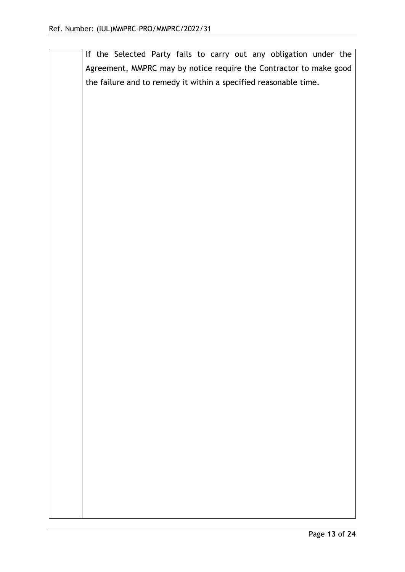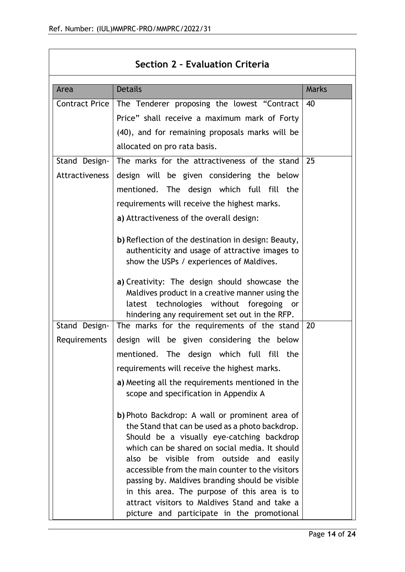$\overline{\phantom{a}}$ 

| Section 2 - Evaluation Criteria |                                                                                                                                                                                                                                                                                                                                                                                                                                                                                                    |              |
|---------------------------------|----------------------------------------------------------------------------------------------------------------------------------------------------------------------------------------------------------------------------------------------------------------------------------------------------------------------------------------------------------------------------------------------------------------------------------------------------------------------------------------------------|--------------|
| Area                            | <b>Details</b>                                                                                                                                                                                                                                                                                                                                                                                                                                                                                     | <b>Marks</b> |
| Contract Price                  | The Tenderer proposing the lowest "Contract"                                                                                                                                                                                                                                                                                                                                                                                                                                                       | 40           |
|                                 | Price" shall receive a maximum mark of Forty                                                                                                                                                                                                                                                                                                                                                                                                                                                       |              |
|                                 | (40), and for remaining proposals marks will be                                                                                                                                                                                                                                                                                                                                                                                                                                                    |              |
|                                 | allocated on pro rata basis.                                                                                                                                                                                                                                                                                                                                                                                                                                                                       |              |
| Stand Design-                   | The marks for the attractiveness of the stand                                                                                                                                                                                                                                                                                                                                                                                                                                                      | 25           |
| Attractiveness                  | design will be given considering the below                                                                                                                                                                                                                                                                                                                                                                                                                                                         |              |
|                                 | mentioned. The design which full fill the                                                                                                                                                                                                                                                                                                                                                                                                                                                          |              |
|                                 | requirements will receive the highest marks.                                                                                                                                                                                                                                                                                                                                                                                                                                                       |              |
|                                 | a) Attractiveness of the overall design:                                                                                                                                                                                                                                                                                                                                                                                                                                                           |              |
|                                 | b) Reflection of the destination in design: Beauty,<br>authenticity and usage of attractive images to<br>show the USPs / experiences of Maldives.                                                                                                                                                                                                                                                                                                                                                  |              |
|                                 | a) Creativity: The design should showcase the<br>Maldives product in a creative manner using the<br>latest technologies without foregoing or<br>hindering any requirement set out in the RFP.                                                                                                                                                                                                                                                                                                      |              |
| Stand Design-                   | The marks for the requirements of the stand                                                                                                                                                                                                                                                                                                                                                                                                                                                        | 20           |
| Requirements                    | design will be given considering the below                                                                                                                                                                                                                                                                                                                                                                                                                                                         |              |
|                                 | mentioned. The design which full fill the                                                                                                                                                                                                                                                                                                                                                                                                                                                          |              |
|                                 | requirements will receive the highest marks.                                                                                                                                                                                                                                                                                                                                                                                                                                                       |              |
|                                 | a) Meeting all the requirements mentioned in the<br>scope and specification in Appendix A                                                                                                                                                                                                                                                                                                                                                                                                          |              |
|                                 | b) Photo Backdrop: A wall or prominent area of<br>the Stand that can be used as a photo backdrop.<br>Should be a visually eye-catching backdrop<br>which can be shared on social media. It should<br>also be visible from outside and easily<br>accessible from the main counter to the visitors<br>passing by. Maldives branding should be visible<br>in this area. The purpose of this area is to<br>attract visitors to Maldives Stand and take a<br>picture and participate in the promotional |              |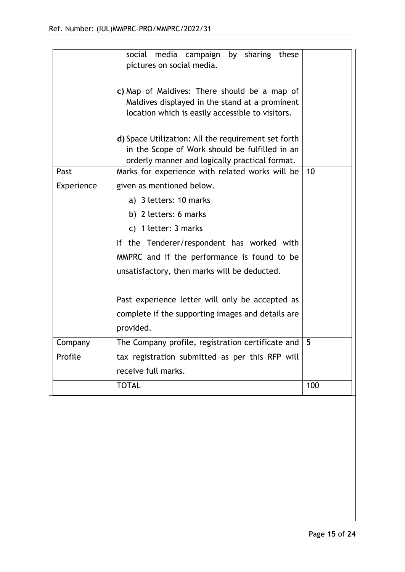|            | social media campaign by sharing these<br>pictures on social media.                                                                                     |     |
|------------|---------------------------------------------------------------------------------------------------------------------------------------------------------|-----|
|            | c) Map of Maldives: There should be a map of<br>Maldives displayed in the stand at a prominent<br>location which is easily accessible to visitors.      |     |
|            | d) Space Utilization: All the requirement set forth<br>in the Scope of Work should be fulfilled in an<br>orderly manner and logically practical format. |     |
| Past       | Marks for experience with related works will be $\vert$ 10                                                                                              |     |
| Experience | given as mentioned below.                                                                                                                               |     |
|            | a) 3 letters: 10 marks                                                                                                                                  |     |
|            | b) 2 letters: 6 marks                                                                                                                                   |     |
|            | c) 1 letter: 3 marks                                                                                                                                    |     |
|            | If the Tenderer/respondent has worked with                                                                                                              |     |
|            | MMPRC and if the performance is found to be                                                                                                             |     |
|            | unsatisfactory, then marks will be deducted.                                                                                                            |     |
|            | Past experience letter will only be accepted as                                                                                                         |     |
|            | complete if the supporting images and details are<br>provided.                                                                                          |     |
| Company    | The Company profile, registration certificate and                                                                                                       | 5   |
| Profile    | tax registration submitted as per this RFP will                                                                                                         |     |
|            | receive full marks.                                                                                                                                     |     |
|            | <b>TOTAL</b>                                                                                                                                            | 100 |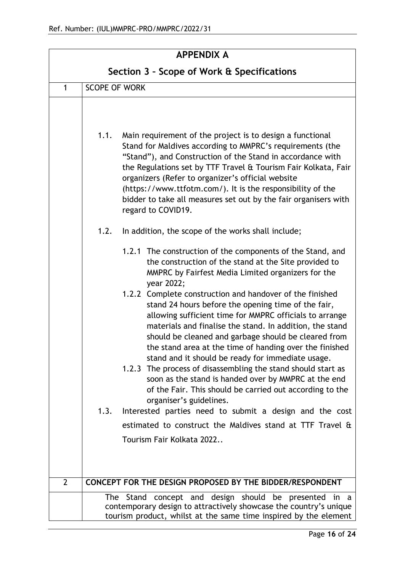| <b>APPENDIX A</b>                          |                      |                                                                                                                                                                                                                                                                                                                                                                                                                                                                                                                                        |  |
|--------------------------------------------|----------------------|----------------------------------------------------------------------------------------------------------------------------------------------------------------------------------------------------------------------------------------------------------------------------------------------------------------------------------------------------------------------------------------------------------------------------------------------------------------------------------------------------------------------------------------|--|
| Section 3 - Scope of Work & Specifications |                      |                                                                                                                                                                                                                                                                                                                                                                                                                                                                                                                                        |  |
| 1                                          | <b>SCOPE OF WORK</b> |                                                                                                                                                                                                                                                                                                                                                                                                                                                                                                                                        |  |
|                                            | 1.1.                 | Main requirement of the project is to design a functional<br>Stand for Maldives according to MMPRC's requirements (the<br>"Stand"), and Construction of the Stand in accordance with<br>the Regulations set by TTF Travel & Tourism Fair Kolkata, Fair<br>organizers (Refer to organizer's official website<br>(https://www.ttfotm.com/). It is the responsibility of the<br>bidder to take all measures set out by the fair organisers with<br>regard to COVID19.                                                                     |  |
|                                            | 1.2.                 | In addition, the scope of the works shall include;                                                                                                                                                                                                                                                                                                                                                                                                                                                                                     |  |
|                                            |                      | 1.2.1 The construction of the components of the Stand, and<br>the construction of the stand at the Site provided to<br>MMPRC by Fairfest Media Limited organizers for the<br>year 2022;                                                                                                                                                                                                                                                                                                                                                |  |
|                                            |                      | 1.2.2 Complete construction and handover of the finished<br>stand 24 hours before the opening time of the fair,<br>allowing sufficient time for MMPRC officials to arrange<br>materials and finalise the stand. In addition, the stand<br>should be cleaned and garbage should be cleared from<br>the stand area at the time of handing over the finished<br>stand and it should be ready for immediate usage.<br>1.2.3 The process of disassembling the stand should start as<br>soon as the stand is handed over by MMPRC at the end |  |
|                                            |                      | of the Fair. This should be carried out according to the<br>organiser's guidelines.                                                                                                                                                                                                                                                                                                                                                                                                                                                    |  |
|                                            | 1.3.                 | Interested parties need to submit a design and the cost                                                                                                                                                                                                                                                                                                                                                                                                                                                                                |  |
|                                            |                      | estimated to construct the Maldives stand at TTF Travel &                                                                                                                                                                                                                                                                                                                                                                                                                                                                              |  |
|                                            |                      | Tourism Fair Kolkata 2022                                                                                                                                                                                                                                                                                                                                                                                                                                                                                                              |  |
| $\overline{2}$                             |                      | CONCEPT FOR THE DESIGN PROPOSED BY THE BIDDER/RESPONDENT                                                                                                                                                                                                                                                                                                                                                                                                                                                                               |  |
|                                            |                      | The Stand concept and design should be presented in a<br>contemporary design to attractively showcase the country's unique<br>tourism product, whilst at the same time inspired by the element                                                                                                                                                                                                                                                                                                                                         |  |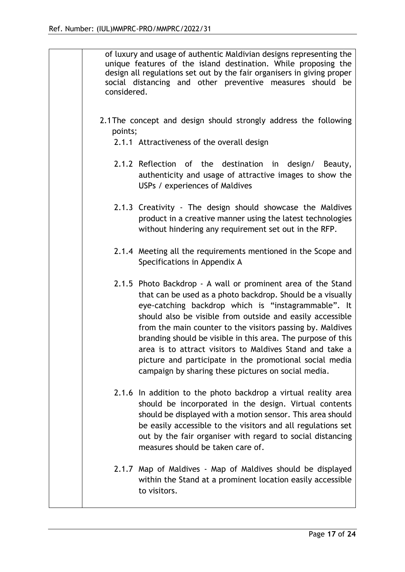|         | of luxury and usage of authentic Maldivian designs representing the<br>unique features of the island destination. While proposing the<br>design all regulations set out by the fair organisers in giving proper<br>social distancing and other preventive measures should be<br>considered.                                                                                                                                                                                                                                                                |  |  |  |
|---------|------------------------------------------------------------------------------------------------------------------------------------------------------------------------------------------------------------------------------------------------------------------------------------------------------------------------------------------------------------------------------------------------------------------------------------------------------------------------------------------------------------------------------------------------------------|--|--|--|
| points; | 2.1 The concept and design should strongly address the following                                                                                                                                                                                                                                                                                                                                                                                                                                                                                           |  |  |  |
|         | 2.1.1 Attractiveness of the overall design                                                                                                                                                                                                                                                                                                                                                                                                                                                                                                                 |  |  |  |
|         | 2.1.2 Reflection of the destination in design/ Beauty,<br>authenticity and usage of attractive images to show the<br>USPs / experiences of Maldives                                                                                                                                                                                                                                                                                                                                                                                                        |  |  |  |
|         | 2.1.3 Creativity - The design should showcase the Maldives<br>product in a creative manner using the latest technologies<br>without hindering any requirement set out in the RFP.                                                                                                                                                                                                                                                                                                                                                                          |  |  |  |
|         | 2.1.4 Meeting all the requirements mentioned in the Scope and<br>Specifications in Appendix A                                                                                                                                                                                                                                                                                                                                                                                                                                                              |  |  |  |
|         | 2.1.5 Photo Backdrop - A wall or prominent area of the Stand<br>that can be used as a photo backdrop. Should be a visually<br>eye-catching backdrop which is "instagrammable". It<br>should also be visible from outside and easily accessible<br>from the main counter to the visitors passing by. Maldives<br>branding should be visible in this area. The purpose of this<br>area is to attract visitors to Maldives Stand and take a<br>picture and participate in the promotional social media<br>campaign by sharing these pictures on social media. |  |  |  |
|         | 2.1.6 In addition to the photo backdrop a virtual reality area<br>should be incorporated in the design. Virtual contents<br>should be displayed with a motion sensor. This area should<br>be easily accessible to the visitors and all regulations set<br>out by the fair organiser with regard to social distancing<br>measures should be taken care of.                                                                                                                                                                                                  |  |  |  |
|         | 2.1.7 Map of Maldives - Map of Maldives should be displayed<br>within the Stand at a prominent location easily accessible<br>to visitors.                                                                                                                                                                                                                                                                                                                                                                                                                  |  |  |  |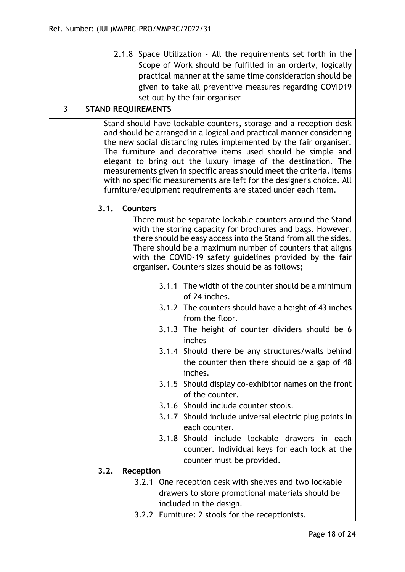|   | 2.1.8 Space Utilization - All the requirements set forth in the                                                                                                                                                                                                                                                                                                                                                                                                                                                                                                   |  |  |  |  |  |  |
|---|-------------------------------------------------------------------------------------------------------------------------------------------------------------------------------------------------------------------------------------------------------------------------------------------------------------------------------------------------------------------------------------------------------------------------------------------------------------------------------------------------------------------------------------------------------------------|--|--|--|--|--|--|
|   | Scope of Work should be fulfilled in an orderly, logically                                                                                                                                                                                                                                                                                                                                                                                                                                                                                                        |  |  |  |  |  |  |
|   | practical manner at the same time consideration should be                                                                                                                                                                                                                                                                                                                                                                                                                                                                                                         |  |  |  |  |  |  |
|   | given to take all preventive measures regarding COVID19                                                                                                                                                                                                                                                                                                                                                                                                                                                                                                           |  |  |  |  |  |  |
|   | set out by the fair organiser                                                                                                                                                                                                                                                                                                                                                                                                                                                                                                                                     |  |  |  |  |  |  |
| 3 | <b>STAND REQUIREMENTS</b>                                                                                                                                                                                                                                                                                                                                                                                                                                                                                                                                         |  |  |  |  |  |  |
|   | Stand should have lockable counters, storage and a reception desk<br>and should be arranged in a logical and practical manner considering<br>the new social distancing rules implemented by the fair organiser.<br>The furniture and decorative items used should be simple and<br>elegant to bring out the luxury image of the destination. The<br>measurements given in specific areas should meet the criteria. Items<br>with no specific measurements are left for the designer's choice. All<br>furniture/equipment requirements are stated under each item. |  |  |  |  |  |  |
|   | <b>Counters</b><br>3.1.                                                                                                                                                                                                                                                                                                                                                                                                                                                                                                                                           |  |  |  |  |  |  |
|   | There must be separate lockable counters around the Stand<br>with the storing capacity for brochures and bags. However,<br>there should be easy access into the Stand from all the sides.<br>There should be a maximum number of counters that aligns<br>with the COVID-19 safety guidelines provided by the fair<br>organiser. Counters sizes should be as follows;                                                                                                                                                                                              |  |  |  |  |  |  |
|   | 3.1.1 The width of the counter should be a minimum<br>of 24 inches.                                                                                                                                                                                                                                                                                                                                                                                                                                                                                               |  |  |  |  |  |  |
|   | 3.1.2 The counters should have a height of 43 inches<br>from the floor.                                                                                                                                                                                                                                                                                                                                                                                                                                                                                           |  |  |  |  |  |  |
|   | 3.1.3 The height of counter dividers should be 6<br>inches                                                                                                                                                                                                                                                                                                                                                                                                                                                                                                        |  |  |  |  |  |  |
|   | 3.1.4 Should there be any structures/walls behind<br>the counter then there should be a gap of 48<br>inches.                                                                                                                                                                                                                                                                                                                                                                                                                                                      |  |  |  |  |  |  |
|   | 3.1.5 Should display co-exhibitor names on the front<br>of the counter.                                                                                                                                                                                                                                                                                                                                                                                                                                                                                           |  |  |  |  |  |  |
|   | 3.1.6 Should include counter stools.                                                                                                                                                                                                                                                                                                                                                                                                                                                                                                                              |  |  |  |  |  |  |
|   | 3.1.7 Should include universal electric plug points in<br>each counter.                                                                                                                                                                                                                                                                                                                                                                                                                                                                                           |  |  |  |  |  |  |
|   | 3.1.8 Should include lockable drawers in each<br>counter. Individual keys for each lock at the<br>counter must be provided.                                                                                                                                                                                                                                                                                                                                                                                                                                       |  |  |  |  |  |  |
|   | 3.2.<br>Reception                                                                                                                                                                                                                                                                                                                                                                                                                                                                                                                                                 |  |  |  |  |  |  |
|   | 3.2.1 One reception desk with shelves and two lockable<br>drawers to store promotional materials should be<br>included in the design.                                                                                                                                                                                                                                                                                                                                                                                                                             |  |  |  |  |  |  |
|   | 3.2.2 Furniture: 2 stools for the receptionists.                                                                                                                                                                                                                                                                                                                                                                                                                                                                                                                  |  |  |  |  |  |  |
|   |                                                                                                                                                                                                                                                                                                                                                                                                                                                                                                                                                                   |  |  |  |  |  |  |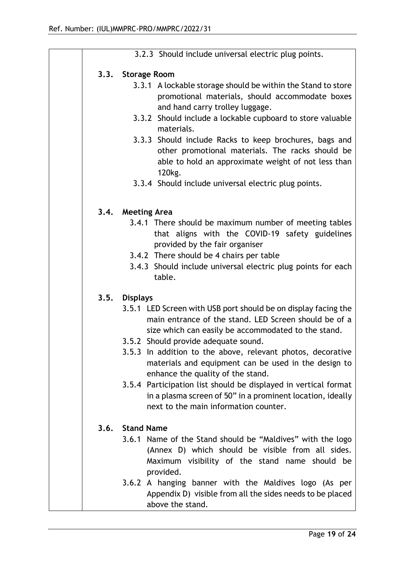|  | 3.2.3 Should include universal electric plug points.                                                                                                                                                                                                                                                                                                                                                                                                                                                                                                                          |
|--|-------------------------------------------------------------------------------------------------------------------------------------------------------------------------------------------------------------------------------------------------------------------------------------------------------------------------------------------------------------------------------------------------------------------------------------------------------------------------------------------------------------------------------------------------------------------------------|
|  | 3.3. Storage Room<br>3.3.1 A lockable storage should be within the Stand to store<br>promotional materials, should accommodate boxes<br>and hand carry trolley luggage.<br>3.3.2 Should include a lockable cupboard to store valuable<br>materials.<br>3.3.3 Should include Racks to keep brochures, bags and<br>other promotional materials. The racks should be<br>able to hold an approximate weight of not less than                                                                                                                                                      |
|  | 120 <sub>kg</sub> .<br>3.3.4 Should include universal electric plug points.                                                                                                                                                                                                                                                                                                                                                                                                                                                                                                   |
|  | 3.4. Meeting Area<br>3.4.1 There should be maximum number of meeting tables<br>that aligns with the COVID-19 safety guidelines<br>provided by the fair organiser<br>3.4.2 There should be 4 chairs per table<br>3.4.3 Should include universal electric plug points for each<br>table.                                                                                                                                                                                                                                                                                        |
|  | 3.5. Displays<br>3.5.1 LED Screen with USB port should be on display facing the<br>main entrance of the stand. LED Screen should be of a<br>size which can easily be accommodated to the stand.<br>3.5.2 Should provide adequate sound.<br>3.5.3 In addition to the above, relevant photos, decorative<br>materials and equipment can be used in the design to<br>enhance the quality of the stand.<br>3.5.4 Participation list should be displayed in vertical format<br>in a plasma screen of 50" in a prominent location, ideally<br>next to the main information counter. |
|  | 3.6. Stand Name<br>3.6.1 Name of the Stand should be "Maldives" with the logo<br>(Annex D) which should be visible from all sides.<br>Maximum visibility of the stand name should be<br>provided.<br>3.6.2 A hanging banner with the Maldives logo (As per<br>Appendix D) visible from all the sides needs to be placed<br>above the stand.                                                                                                                                                                                                                                   |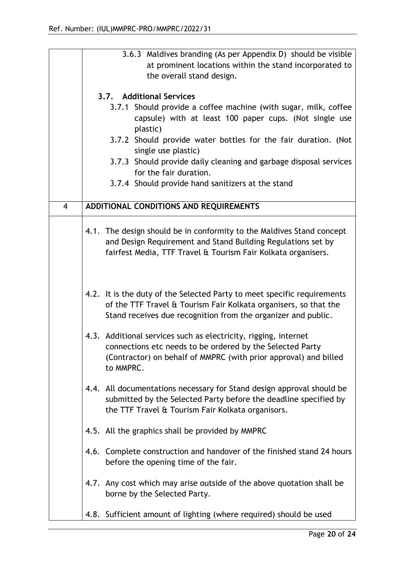|                | 3.6.3 Maldives branding (As per Appendix D) should be visible<br>at prominent locations within the stand incorporated to<br>the overall stand design. |                                                                                                                                                                                                                                                                                                                                                                                                                |  |
|----------------|-------------------------------------------------------------------------------------------------------------------------------------------------------|----------------------------------------------------------------------------------------------------------------------------------------------------------------------------------------------------------------------------------------------------------------------------------------------------------------------------------------------------------------------------------------------------------------|--|
|                |                                                                                                                                                       | 3.7. Additional Services<br>3.7.1 Should provide a coffee machine (with sugar, milk, coffee<br>capsule) with at least 100 paper cups. (Not single use<br>plastic)<br>3.7.2 Should provide water bottles for the fair duration. (Not<br>single use plastic)<br>3.7.3 Should provide daily cleaning and garbage disposal services<br>for the fair duration.<br>3.7.4 Should provide hand sanitizers at the stand |  |
| $\overline{4}$ |                                                                                                                                                       | ADDITIONAL CONDITIONS AND REQUIREMENTS                                                                                                                                                                                                                                                                                                                                                                         |  |
|                |                                                                                                                                                       | 4.1. The design should be in conformity to the Maldives Stand concept<br>and Design Requirement and Stand Building Regulations set by<br>fairfest Media, TTF Travel & Tourism Fair Kolkata organisers.                                                                                                                                                                                                         |  |
|                |                                                                                                                                                       | 4.2. It is the duty of the Selected Party to meet specific requirements<br>of the TTF Travel & Tourism Fair Kolkata organisers, so that the<br>Stand receives due recognition from the organizer and public.                                                                                                                                                                                                   |  |
|                |                                                                                                                                                       | 4.3. Additional services such as electricity, rigging, internet<br>connections etc needs to be ordered by the Selected Party<br>(Contractor) on behalf of MMPRC (with prior approval) and billed<br>to MMPRC.                                                                                                                                                                                                  |  |
|                |                                                                                                                                                       | 4.4. All documentations necessary for Stand design approval should be<br>submitted by the Selected Party before the deadline specified by<br>the TTF Travel & Tourism Fair Kolkata organisors.                                                                                                                                                                                                                 |  |
|                |                                                                                                                                                       | 4.5. All the graphics shall be provided by MMPRC                                                                                                                                                                                                                                                                                                                                                               |  |
|                |                                                                                                                                                       | 4.6. Complete construction and handover of the finished stand 24 hours<br>before the opening time of the fair.                                                                                                                                                                                                                                                                                                 |  |
|                |                                                                                                                                                       | 4.7. Any cost which may arise outside of the above quotation shall be<br>borne by the Selected Party.                                                                                                                                                                                                                                                                                                          |  |
|                |                                                                                                                                                       | 4.8. Sufficient amount of lighting (where required) should be used                                                                                                                                                                                                                                                                                                                                             |  |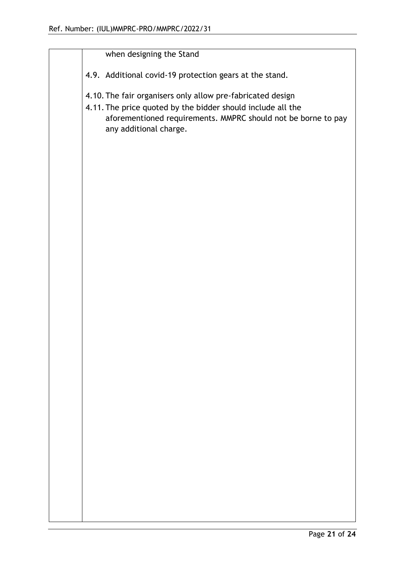|  |                                                                                                                                                                                                                      | when designing the Stand                                |
|--|----------------------------------------------------------------------------------------------------------------------------------------------------------------------------------------------------------------------|---------------------------------------------------------|
|  |                                                                                                                                                                                                                      | 4.9. Additional covid-19 protection gears at the stand. |
|  | 4.10. The fair organisers only allow pre-fabricated design<br>4.11. The price quoted by the bidder should include all the<br>aforementioned requirements. MMPRC should not be borne to pay<br>any additional charge. |                                                         |
|  |                                                                                                                                                                                                                      |                                                         |
|  |                                                                                                                                                                                                                      |                                                         |
|  |                                                                                                                                                                                                                      |                                                         |
|  |                                                                                                                                                                                                                      |                                                         |
|  |                                                                                                                                                                                                                      |                                                         |
|  |                                                                                                                                                                                                                      |                                                         |
|  |                                                                                                                                                                                                                      |                                                         |
|  |                                                                                                                                                                                                                      |                                                         |
|  |                                                                                                                                                                                                                      |                                                         |
|  |                                                                                                                                                                                                                      |                                                         |
|  |                                                                                                                                                                                                                      |                                                         |
|  |                                                                                                                                                                                                                      |                                                         |
|  |                                                                                                                                                                                                                      |                                                         |
|  |                                                                                                                                                                                                                      |                                                         |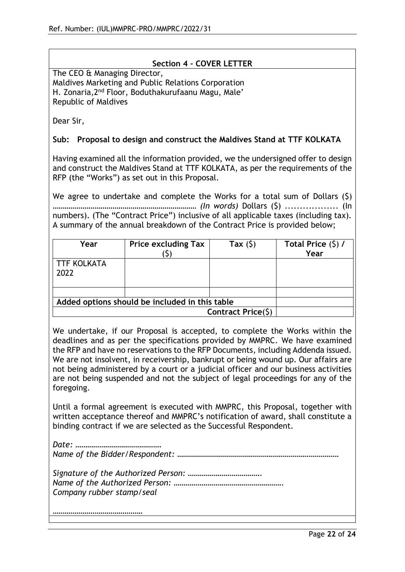#### **Section 4 – COVER LETTER**

The CEO & Managing Director, Maldives Marketing and Public Relations Corporation H. Zonaria,2nd Floor, Boduthakurufaanu Magu, Male' Republic of Maldives

Dear Sir,

#### **Sub: Proposal to design and construct the Maldives Stand at TTF KOLKATA**

Having examined all the information provided, we the undersigned offer to design and construct the Maldives Stand at TTF KOLKATA, as per the requirements of the RFP (the "Works") as set out in this Proposal.

We agree to undertake and complete the Works for a total sum of Dollars (\$) *……………………………………………………………… (In words)* Dollars (\$) .................. (In numbers). (The "Contract Price") inclusive of all applicable taxes (including tax). A summary of the annual breakdown of the Contract Price is provided below;

| Year                                           | <b>Price excluding Tax</b> | Tax $(5)$          | Total Price $(5)$ /<br>Year |
|------------------------------------------------|----------------------------|--------------------|-----------------------------|
| <b>TTF KOLKATA</b><br>2022                     |                            |                    |                             |
|                                                |                            |                    |                             |
| Added options should be included in this table |                            |                    |                             |
|                                                |                            | Contract Price(\$) |                             |

We undertake, if our Proposal is accepted, to complete the Works within the deadlines and as per the specifications provided by MMPRC. We have examined the RFP and have no reservations to the RFP Documents, including Addenda issued. We are not insolvent, in receivership, bankrupt or being wound up. Our affairs are not being administered by a court or a judicial officer and our business activities are not being suspended and not the subject of legal proceedings for any of the foregoing.

Until a formal agreement is executed with MMPRC, this Proposal, together with written acceptance thereof and MMPRC's notification of award, shall constitute a binding contract if we are selected as the Successful Respondent.

*Date: ……………………………………. Name of the Bidder/Respondent: ………………………………………………………………………* 

*Signature of the Authorized Person: ………………………………. Name of the Authorized Person: ………………………………………………. Company rubber stamp/seal*

*………………………………………*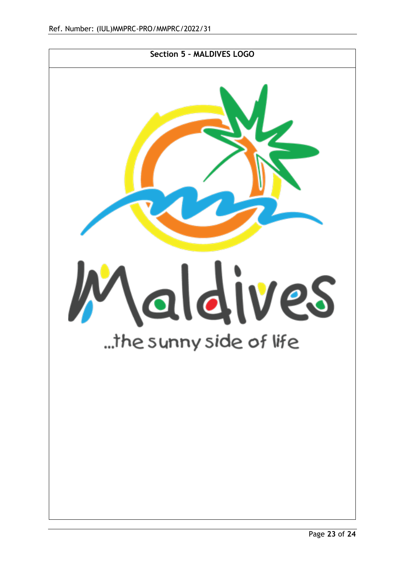